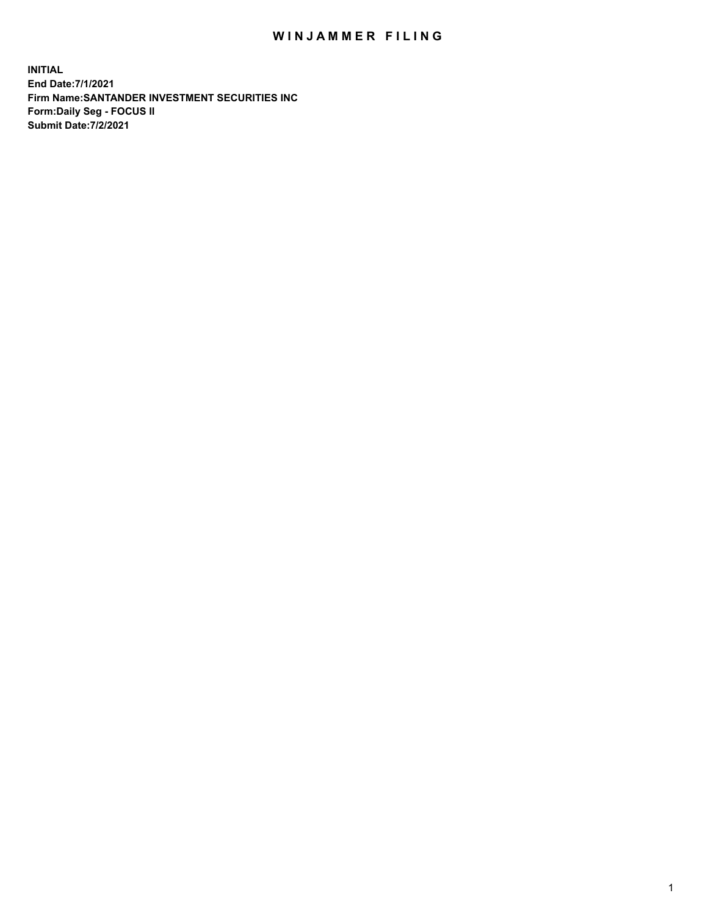## WIN JAMMER FILING

**INITIAL End Date:7/1/2021 Firm Name:SANTANDER INVESTMENT SECURITIES INC Form:Daily Seg - FOCUS II Submit Date:7/2/2021**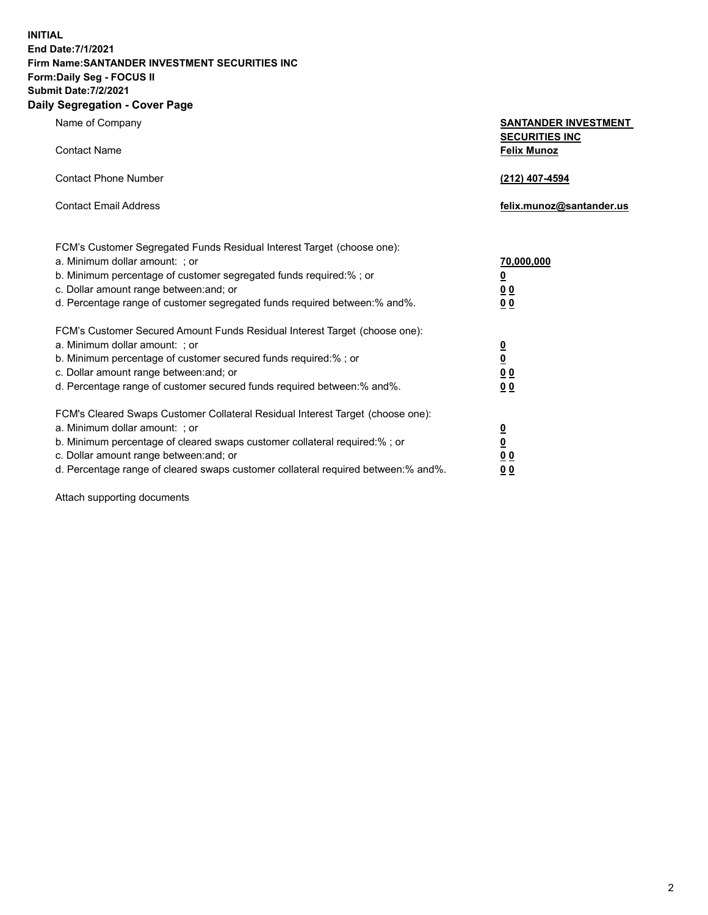**INITIAL End Date:7/1/2021 Firm Name:SANTANDER INVESTMENT SECURITIES INC Form:Daily Seg - FOCUS II Submit Date:7/2/2021 Daily Segregation - Cover Page**

| Name of Company                                                                   | <b>SANTANDER INVESTMENT</b><br><b>SECURITIES INC</b> |
|-----------------------------------------------------------------------------------|------------------------------------------------------|
| <b>Contact Name</b>                                                               | <b>Felix Munoz</b>                                   |
| <b>Contact Phone Number</b><br><b>Contact Email Address</b>                       | (212) 407-4594<br>felix.munoz@santander.us           |
|                                                                                   |                                                      |
| FCM's Customer Segregated Funds Residual Interest Target (choose one):            |                                                      |
| a. Minimum dollar amount: ; or                                                    | 70,000,000                                           |
| b. Minimum percentage of customer segregated funds required:% ; or                | <u>0</u>                                             |
| c. Dollar amount range between: and; or                                           | 0 <sub>0</sub>                                       |
| d. Percentage range of customer segregated funds required between:% and%.         | 0 <sub>0</sub>                                       |
| FCM's Customer Secured Amount Funds Residual Interest Target (choose one):        |                                                      |
| a. Minimum dollar amount: ; or                                                    | $\overline{\mathbf{0}}$                              |
| b. Minimum percentage of customer secured funds required:%; or                    | $\underline{\mathbf{0}}$                             |
| c. Dollar amount range between: and; or                                           | 0 <sub>0</sub>                                       |
| d. Percentage range of customer secured funds required between: % and %.          | 0 <sub>0</sub>                                       |
| FCM's Cleared Swaps Customer Collateral Residual Interest Target (choose one):    |                                                      |
| a. Minimum dollar amount: ; or                                                    | $\overline{\mathbf{0}}$                              |
| b. Minimum percentage of cleared swaps customer collateral required:% ; or        | $\underline{\mathbf{0}}$                             |
| c. Dollar amount range between: and; or                                           | <u>00</u>                                            |
| d. Percentage range of cleared swaps customer collateral required between:% and%. | 00                                                   |

Attach supporting documents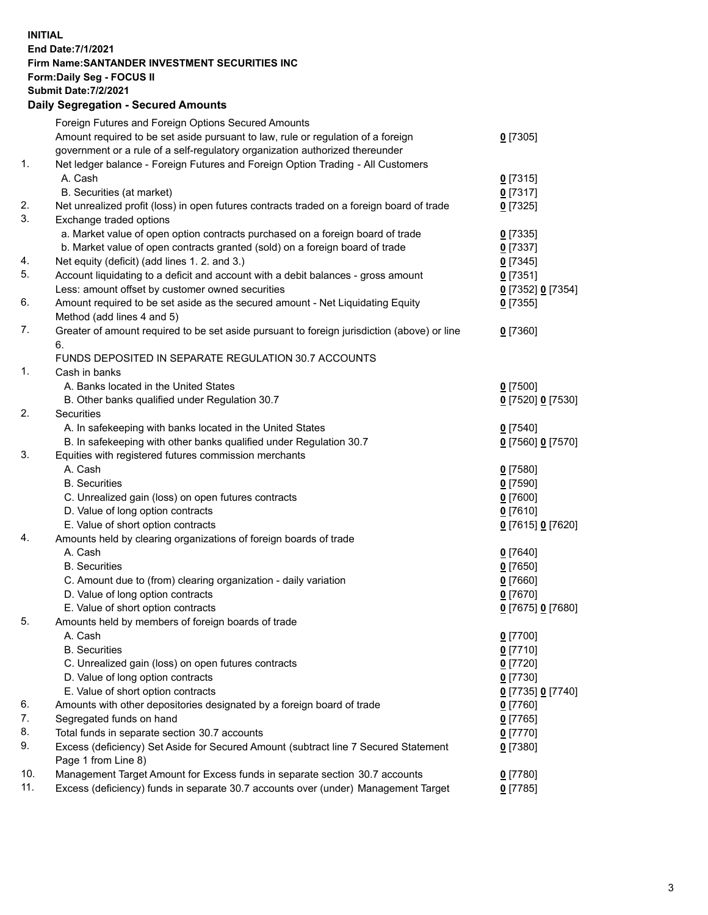## **INITIAL End Date:7/1/2021 Firm Name:SANTANDER INVESTMENT SECURITIES INC Form:Daily Seg - FOCUS II Submit Date:7/2/2021 Daily Segregation - Secured Amounts** Foreign Futures and Foreign Options Secured Amounts Amount required to be set aside pursuant to law, rule or regulation of a foreign government or a rule of a self-regulatory organization authorized thereunder 1. Net ledger balance - Foreign Futures and Foreign Option Trading - All Customers A. Cash **0** [7315] B. Securities (at market) **0** [7317] 2. Net unrealized profit (loss) in open futures contracts traded on a foreign board of trade **0** [7325] 3. Exchange traded options a. Market value of open option contracts purchased on a foreign board of trade **0** [7335] b. Market value of open contracts granted (sold) on a foreign board of trade **0** [7337] 4. Net equity (deficit) (add lines 1. 2. and 3.) **0** [7345] 5. Account liquidating to a deficit and account with a debit balances - gross amount **0** [7351]

|     | Less: amount offset by customer owned securities                                            | 0 [7352] 0 [7354] |
|-----|---------------------------------------------------------------------------------------------|-------------------|
| 6.  | Amount required to be set aside as the secured amount - Net Liquidating Equity              | $0$ [7355]        |
|     | Method (add lines 4 and 5)                                                                  |                   |
| 7.  | Greater of amount required to be set aside pursuant to foreign jurisdiction (above) or line | $0$ [7360]        |
|     | 6.                                                                                          |                   |
|     | FUNDS DEPOSITED IN SEPARATE REGULATION 30.7 ACCOUNTS                                        |                   |
| 1.  | Cash in banks                                                                               |                   |
|     | A. Banks located in the United States                                                       | $0$ [7500]        |
|     | B. Other banks qualified under Regulation 30.7                                              | 0 [7520] 0 [7530] |
| 2.  | Securities                                                                                  |                   |
|     | A. In safekeeping with banks located in the United States                                   | $0$ [7540]        |
|     | B. In safekeeping with other banks qualified under Regulation 30.7                          | 0 [7560] 0 [7570] |
| 3.  | Equities with registered futures commission merchants                                       |                   |
|     | A. Cash                                                                                     | $0$ [7580]        |
|     | <b>B.</b> Securities                                                                        | $0$ [7590]        |
|     | C. Unrealized gain (loss) on open futures contracts                                         | $0$ [7600]        |
|     | D. Value of long option contracts                                                           | $0$ [7610]        |
|     | E. Value of short option contracts                                                          | 0 [7615] 0 [7620] |
| 4.  | Amounts held by clearing organizations of foreign boards of trade                           |                   |
|     | A. Cash                                                                                     | $0$ [7640]        |
|     | <b>B.</b> Securities                                                                        | $0$ [7650]        |
|     | C. Amount due to (from) clearing organization - daily variation                             | $0$ [7660]        |
|     | D. Value of long option contracts                                                           | $0$ [7670]        |
|     | E. Value of short option contracts                                                          | 0 [7675] 0 [7680] |
| 5.  | Amounts held by members of foreign boards of trade                                          |                   |
|     | A. Cash                                                                                     | $0$ [7700]        |
|     | <b>B.</b> Securities                                                                        | $0$ [7710]        |
|     | C. Unrealized gain (loss) on open futures contracts                                         | $0$ [7720]        |
|     | D. Value of long option contracts                                                           | $0$ [7730]        |
|     | E. Value of short option contracts                                                          | 0 [7735] 0 [7740] |
| 6.  | Amounts with other depositories designated by a foreign board of trade                      | $0$ [7760]        |
| 7.  | Segregated funds on hand                                                                    | $0$ [7765]        |
| 8.  | Total funds in separate section 30.7 accounts                                               | $0$ [7770]        |
| 9.  | Excess (deficiency) Set Aside for Secured Amount (subtract line 7 Secured Statement         | $0$ [7380]        |
|     | Page 1 from Line 8)                                                                         |                   |
| 10. | Management Target Amount for Excess funds in separate section 30.7 accounts                 | $0$ [7780]        |
| 11. | Excess (deficiency) funds in separate 30.7 accounts over (under) Management Target          | $0$ [7785]        |

**0** [7305]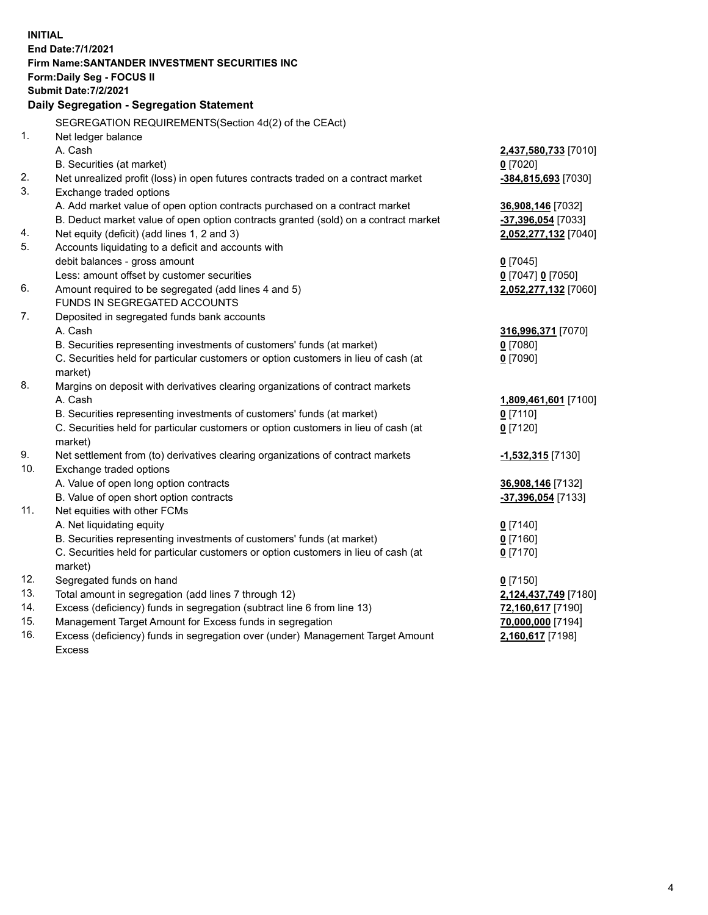| <b>INITIAL</b> |                                                                                      |                       |
|----------------|--------------------------------------------------------------------------------------|-----------------------|
|                | End Date: 7/1/2021                                                                   |                       |
|                | Firm Name: SANTANDER INVESTMENT SECURITIES INC                                       |                       |
|                | <b>Form:Daily Seg - FOCUS II</b>                                                     |                       |
|                | <b>Submit Date: 7/2/2021</b>                                                         |                       |
|                | Daily Segregation - Segregation Statement                                            |                       |
|                | SEGREGATION REQUIREMENTS(Section 4d(2) of the CEAct)                                 |                       |
| 1.             | Net ledger balance                                                                   |                       |
|                | A. Cash                                                                              | 2,437,580,733 [7010]  |
|                | B. Securities (at market)                                                            | $0$ [7020]            |
| 2.             | Net unrealized profit (loss) in open futures contracts traded on a contract market   | $-384,815,693$ [7030] |
| 3.             | Exchange traded options                                                              |                       |
|                | A. Add market value of open option contracts purchased on a contract market          | 36,908,146 [7032]     |
|                | B. Deduct market value of open option contracts granted (sold) on a contract market  | -37,396,054 [7033]    |
| 4.             | Net equity (deficit) (add lines 1, 2 and 3)                                          | 2,052,277,132 [7040]  |
| 5.             | Accounts liquidating to a deficit and accounts with                                  |                       |
|                | debit balances - gross amount                                                        | $0$ [7045]            |
| 6.             | Less: amount offset by customer securities                                           | 0 [7047] 0 [7050]     |
|                | Amount required to be segregated (add lines 4 and 5)<br>FUNDS IN SEGREGATED ACCOUNTS | 2,052,277,132 [7060]  |
| 7.             | Deposited in segregated funds bank accounts                                          |                       |
|                | A. Cash                                                                              | 316,996,371 [7070]    |
|                | B. Securities representing investments of customers' funds (at market)               | $0$ [7080]            |
|                | C. Securities held for particular customers or option customers in lieu of cash (at  | $0$ [7090]            |
|                | market)                                                                              |                       |
| 8.             | Margins on deposit with derivatives clearing organizations of contract markets       |                       |
|                | A. Cash                                                                              | 1,809,461,601 [7100]  |
|                | B. Securities representing investments of customers' funds (at market)               | $0$ [7110]            |
|                | C. Securities held for particular customers or option customers in lieu of cash (at  | $0$ [7120]            |
|                | market)                                                                              |                       |
| 9.             | Net settlement from (to) derivatives clearing organizations of contract markets      | -1,532,315 [7130]     |
| 10.            | Exchange traded options                                                              |                       |
|                | A. Value of open long option contracts                                               | 36,908,146 [7132]     |
|                | B. Value of open short option contracts                                              | -37,396,054 [7133]    |
| 11.            | Net equities with other FCMs                                                         |                       |
|                | A. Net liquidating equity                                                            | $0$ [7140]            |
|                | B. Securities representing investments of customers' funds (at market)               | $0$ [7160]            |
|                | C. Securities held for particular customers or option customers in lieu of cash (at  | $0$ [7170]            |
|                | market)                                                                              |                       |
| 12.            | Segregated funds on hand                                                             | $0$ [7150]            |
| 13.            | Total amount in segregation (add lines 7 through 12)                                 | 2,124,437,749 [7180]  |
| 14.            | Excess (deficiency) funds in segregation (subtract line 6 from line 13)              | 72,160,617 [7190]     |
| 15.<br>16.     | Management Target Amount for Excess funds in segregation                             | 70,000,000 [7194]     |
|                | Excess (deficiency) funds in segregation over (under) Management Target Amount       | 2,160,617 [7198]      |
|                | <b>Excess</b>                                                                        |                       |